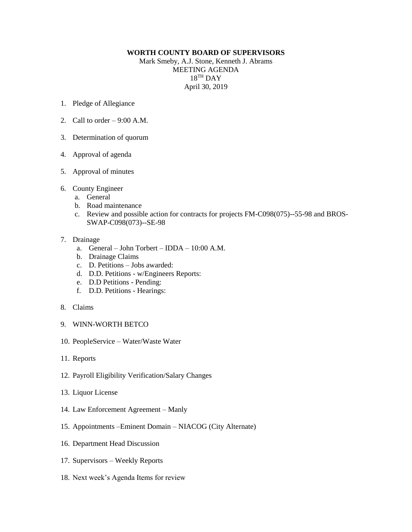## **WORTH COUNTY BOARD OF SUPERVISORS**

Mark Smeby, A.J. Stone, Kenneth J. Abrams MEETING AGENDA 18 TH DAY April 30, 2019

- 1. Pledge of Allegiance
- 2. Call to order  $-9:00$  A.M.
- 3. Determination of quorum
- 4. Approval of agenda
- 5. Approval of minutes
- 6. County Engineer
	- a. General
	- b. Road maintenance
	- c. Review and possible action for contracts for projects FM-C098(075)--55-98 and BROS-SWAP-C098(073)--SE-98

## 7. Drainage

- a. General John Torbert IDDA 10:00 A.M.
- b. Drainage Claims
- c. D. Petitions Jobs awarded:
- d. D.D. Petitions w/Engineers Reports:
- e. D.D Petitions Pending:
- f. D.D. Petitions Hearings:
- 8. Claims
- 9. WINN-WORTH BETCO
- 10. PeopleService Water/Waste Water
- 11. Reports
- 12. Payroll Eligibility Verification/Salary Changes
- 13. Liquor License
- 14. Law Enforcement Agreement Manly
- 15. Appointments –Eminent Domain NIACOG (City Alternate)
- 16. Department Head Discussion
- 17. Supervisors Weekly Reports
- 18. Next week's Agenda Items for review